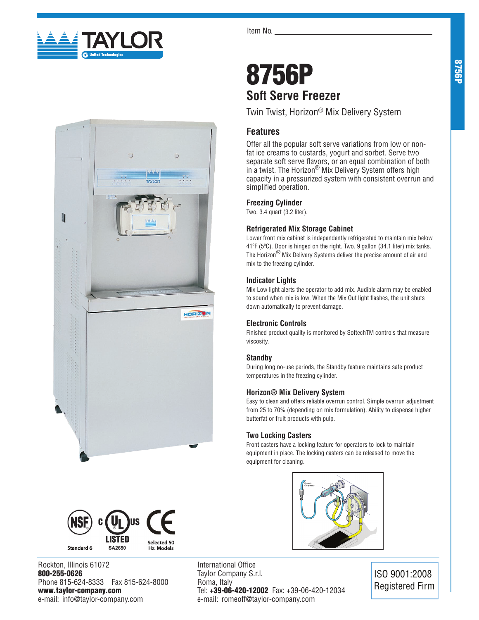





Rockton, Illinois 61072 800-255-0626 Phone 815-624-8333 Fax 815-624-8000 www.taylor-company.com e-mail: info@taylor-company.com

Item No.

# 8756P **Soft Serve Freezer**

Twin Twist, Horizon® Mix Delivery System

# **Features**

Offer all the popular soft serve variations from low or nonfat ice creams to custards, yogurt and sorbet. Serve two separate soft serve flavors, or an equal combination of both in a twist. The Horizon® Mix Delivery System offers high capacity in a pressurized system with consistent overrun and simplified operation.

## **Freezing Cylinder**

Two, 3.4 quart (3.2 liter).

## **Refrigerated Mix Storage Cabinet**

Lower front mix cabinet is independently refrigerated to maintain mix below 41ºF (5ºC). Door is hinged on the right. Two, 9 gallon (34.1 liter) mix tanks. The Horizon® Mix Delivery Systems deliver the precise amount of air and mix to the freezing cylinder.

## **Indicator Lights**

Mix Low light alerts the operator to add mix. Audible alarm may be enabled to sound when mix is low. When the Mix Out light flashes, the unit shuts down automatically to prevent damage.

## **Electronic Controls**

Finished product quality is monitored by SoftechTM controls that measure viscosity.

## **Standby**

During long no-use periods, the Standby feature maintains safe product temperatures in the freezing cylinder.

## **Horizon® Mix Delivery System**

Easy to clean and offers reliable overrun control. Simple overrun adjustment from 25 to 70% (depending on mix formulation). Ability to dispense higher butterfat or fruit products with pulp.

## **Two Locking Casters**

Front casters have a locking feature for operators to lock to maintain equipment in place. The locking casters can be released to move the equipment for cleaning.



International Office Taylor Company S.r.l. Roma, Italy Tel: +39-06-420-12002 Fax: +39-06-420-12034 e-mail: romeoff@taylor-company.com

ISO 9001:2008 Registered Firm